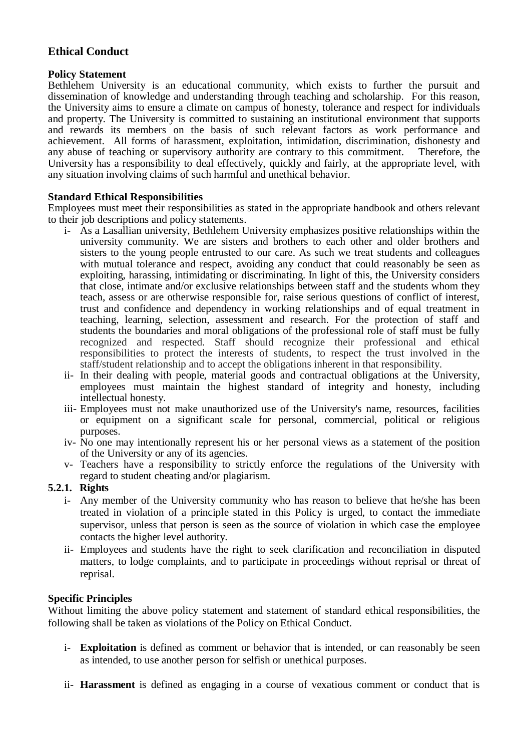# **Ethical Conduct**

### **Policy Statement**

Bethlehem University is an educational community, which exists to further the pursuit and dissemination of knowledge and understanding through teaching and scholarship. For this reason, the University aims to ensure a climate on campus of honesty, tolerance and respect for individuals and property. The University is committed to sustaining an institutional environment that supports and rewards its members on the basis of such relevant factors as work performance and achievement. All forms of harassment, exploitation, intimidation, discrimination, dishonesty and any abuse of teaching or supervisory authority are contrary to this commitment. Therefore, the any abuse of teaching or supervisory authority are contrary to this commitment. University has a responsibility to deal effectively, quickly and fairly, at the appropriate level, with any situation involving claims of such harmful and unethical behavior.

### **Standard Ethical Responsibilities**

Employees must meet their responsibilities as stated in the appropriate handbook and others relevant to their job descriptions and policy statements.

- i- As a Lasallian university, Bethlehem University emphasizes positive relationships within the university community. We are sisters and brothers to each other and older brothers and sisters to the young people entrusted to our care. As such we treat students and colleagues with mutual tolerance and respect, avoiding any conduct that could reasonably be seen as exploiting, harassing, intimidating or discriminating. In light of this, the University considers that close, intimate and/or exclusive relationships between staff and the students whom they teach, assess or are otherwise responsible for, raise serious questions of conflict of interest, trust and confidence and dependency in working relationships and of equal treatment in teaching, learning, selection, assessment and research. For the protection of staff and students the boundaries and moral obligations of the professional role of staff must be fully recognized and respected. Staff should recognize their professional and ethical responsibilities to protect the interests of students, to respect the trust involved in the staff/student relationship and to accept the obligations inherent in that responsibility.
- ii- In their dealing with people, material goods and contractual obligations at the University, employees must maintain the highest standard of integrity and honesty, including intellectual honesty.
- iii- Employees must not make unauthorized use of the University's name, resources, facilities or equipment on a significant scale for personal, commercial, political or religious purposes.
- iv- No one may intentionally represent his or her personal views as a statement of the position of the University or any of its agencies.
- v- Teachers have a responsibility to strictly enforce the regulations of the University with regard to student cheating and/or plagiarism.

## **5.2.1. Rights**

- i- Any member of the University community who has reason to believe that he/she has been treated in violation of a principle stated in this Policy is urged, to contact the immediate supervisor, unless that person is seen as the source of violation in which case the employee contacts the higher level authority.
- ii- Employees and students have the right to seek clarification and reconciliation in disputed matters, to lodge complaints, and to participate in proceedings without reprisal or threat of reprisal.

## **Specific Principles**

Without limiting the above policy statement and statement of standard ethical responsibilities, the following shall be taken as violations of the Policy on Ethical Conduct.

- i- **Exploitation** is defined as comment or behavior that is intended, or can reasonably be seen as intended, to use another person for selfish or unethical purposes.
- ii- **Harassment** is defined as engaging in a course of vexatious comment or conduct that is